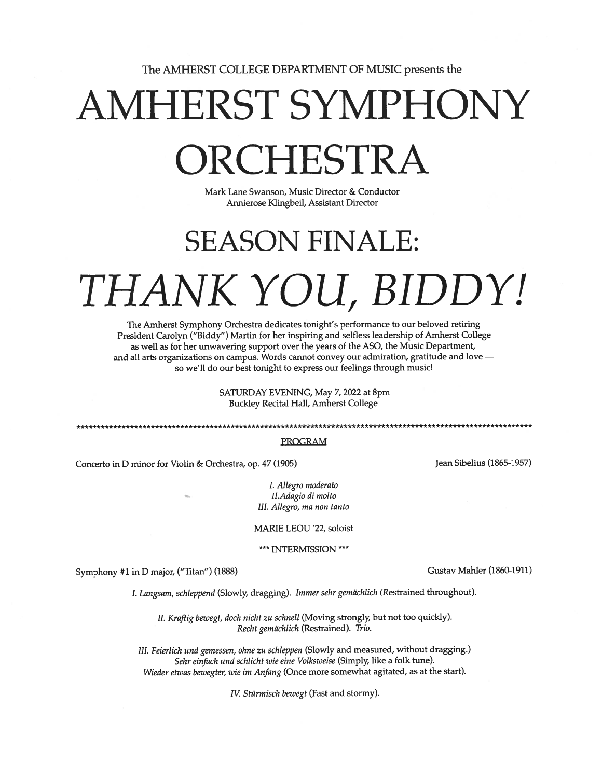The AMHERST COLLEGE DEPARTMENT OF MUSIC presents the

# AMHERST SYMPHONY ORCHESTRA

Mark Lane Swanson, Music Director & Conductor Annierose Klingbeil, Assistant Director

## SEASON FINALE: THANK YOU, BIDDY!

The Amherst Symphony Orchestra dedicates tonight's performance to our beloved retiring President Carolyn ("Biddy") Martin for her inspiring and selfless leadership of Amherst College as well as for her unwavering suppor<sup>t</sup> over the years of the ASO, the Music Department, and all arts organizations on campus. Words cannot convey our admiration, gratitude and love so we'll do our best tonight to express our feelings through music!

> SATURDAY EVENING, May 7, 2022 at 8pm Buckley Recital Hall, Amherst College

## PROGRAM

Concerto in D minor for Violin & Orchestra, op. 47 (1905) Jean Sibelius (1865-1957)

I. Allegro moderato II.Adagio di molto III. Allegro, ma non tanto

MARIE LEOU '22, soloist

\*\*\* INTERMISSION \*\*\*

Symphony #1 in D major, ("Titan") (1888) Gustav Mahler (1860-1911)

I. Langsam, schleppend (Slowly, dragging). Immer sehr gemachlich (Restrained throughout).

II. Kraftig bewegt, doch nicht zu schnell (Moving strongly, but not too quickly). Recht gemächlich (Restrained). Trio.

III. Feierlich und gemessen, ohne zu schleppen (Slowly and measured, without dragging.) Sehr einfach und schlicht wie eine Volksweise (Simply, like <sup>a</sup> folk tune). Wieder etwas bewegter, wie im Anfang (Once more somewhat agitated, as at the start).

IV. Stürmisch bewegt (Fast and stormy).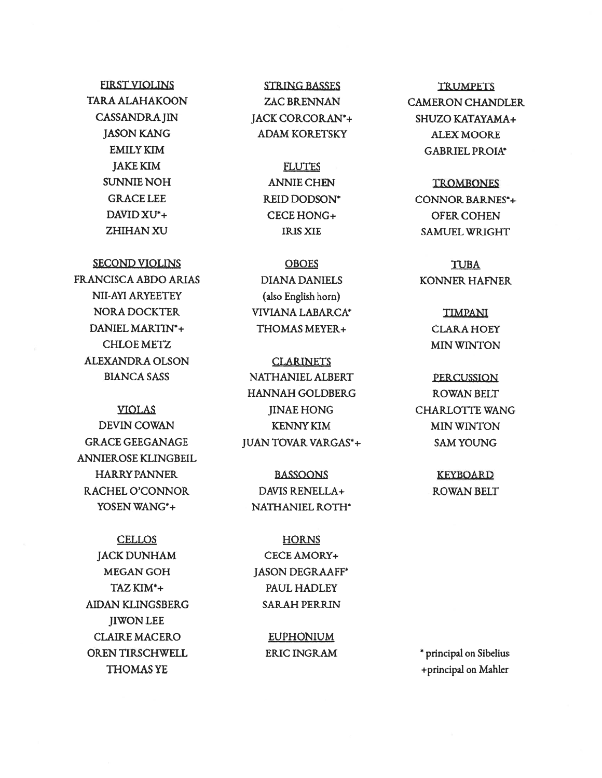## **FIRST VIOLINS TARA ALAHAKOON CASSANDRA JIN JASON KANG EMILY KIM JAKE KIM SUNNIE NOH GRACE LEE** DAVID XU<sup>\*</sup>+ **ZHIHAN XU**

**SECOND VIOLINS** 

**FRANCISCA ABDO ARIAS** NII-AYI ARYEETEY **NORA DOCKTER** DANIEL MARTIN\*+ **CHLOE METZ ALEXANDRA OLSON BIANCA SASS** 

**VIOLAS DEVIN COWAN GRACE GEEGANAGE** ANNIEROSE KLINGBEIL **HARRY PANNER** RACHEL O'CONNOR YOSEN WANG\*+

**CELLOS JACK DUNHAM** MEGAN GOH TAZ KIM\*+ **AIDAN KLINGSBERG JIWON LEE CLAIRE MACERO** OREN TIRSCHWELL **THOMAS YE** 

**STRING BASSES ZAC BRENNAN** JACK CORCORAN\*+ **ADAM KORETSKY** 

> **FLUTES ANNIE CHEN REID DODSON\*** CECE HONG+ **IRIS XIE**

**OBOES DIANA DANIELS** (also English horn) VIVIANA LABARCA\* THOMAS MEYER+

**CLARINETS** NATHANIEL ALBERT **HANNAH GOLDBERG IINAE HONG KENNY KIM JUAN TOVAR VARGAS\*+** 

**BASSOONS** DAVIS RENELLA+ NATHANIEL ROTH\*

**HORNS** CECE AMORY+ **JASON DEGRAAFF\*** PAUL HADLEY **SARAH PERRIN** 

> **EUPHONIUM ERIC INGRAM**

**TRUMPETS CAMERON CHANDLER** SHUZO KATAYAMA+ **ALEX MOORE GABRIEL PROIA\*** 

**TROMBONES CONNOR BARNES\*+ OFER COHEN** SAMUEL WRIGHT

**TUBA KONNER HAFNER** 

> **TIMPANI CLARA HOEY MIN WINTON**

**PERCUSSION ROWAN BELT CHARLOTTE WANG MIN WINTON SAM YOUNG** 

> **KEYBOARD ROWAN BELT**

\* principal on Sibelius +principal on Mahler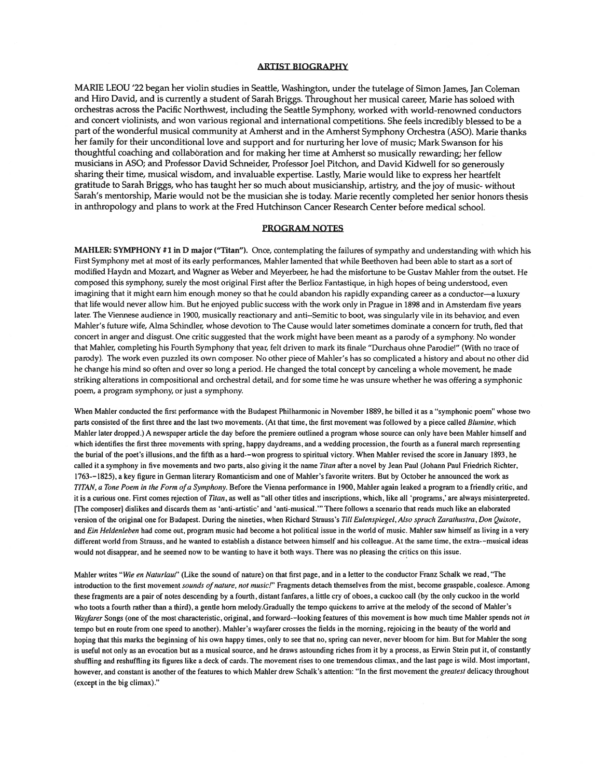### ARTIST BIOGRAPHY

MARIE LEOU '22 began her violin studies in Seattle, Washington, under the tutelage of Simon James, Jan Coleman and Hiro David, and is currently <sup>a</sup> student of Sarah Briggs. Throughout her musical career, Marie has soloed with orchestras across the Pacific Northwest, including the Seattle Symphony, worked with world-renowned conductors and concert violinists, and won various regional and international competitions. She feels incredibly blessed to be <sup>a</sup> par<sup>t</sup> of the wonderful musical community at Amherst and in the Amherst Symphony Orchestra (ASO). Marie thanks her family for their unconditional love and suppor<sup>t</sup> and for nurturing her love of music; Mark Swanson for his thoughtful coaching and collaboration and for making her time at Amherst so musically rewarding; her fellow musicians in ASO; and Professor David Schneider, Professor Joel Pitchon, and David Kidwell for so generously sharing their time, musical wisdom, and invaluable expertise. Lastly, Marie would like to express her heartfelt gratitude to Sarah Briggs, who has taught her so much about musicianship, artistry, and the joy of music- without Sarah's mentorship, Marie would not be the musician she is today. Marie recently completed her senior honors thesis in anthropology and plans to work at the Fred Hutchinson Cancer Research Center before medical school.

#### PROGRAM NOTES

MAHLER: SYMPHONY #1 in <sup>D</sup> major ("Titan"). Once, contemplating the failures of sympathy and understanding with which his First Symphony met at most of its early performances, Mahler lamented that while Beethoven had been able to start as <sup>a</sup> sort of modified Haydn and Mozart, and Wagner as Weber and Meyerbeer, he had the misfortune to be Gustav Mahier from the outset. He composed this symphony, surely the most original First after the Berlioz Fantastique, in high hopes of being understood, even imagining that it might earn him enoug<sup>h</sup> money so that he could abandon his rapidly expanding career as <sup>a</sup> conductor—a luxury that life would never allow him. But he enjoyed public success with the work only in Prague in 1898 and in Amsterdam five years later. The Viennese audience in 1900, musically reactionary and anti--Semitic to boot, was singularly vile in its behavior, and even Mahier's future wife, Alma Schindler, whose devotion to The Cause would later sometimes dominate <sup>a</sup> concern for truth, fled that concert in anger and disgust. One critic suggested that the work might have been meant as <sup>a</sup> parody of <sup>a</sup> symphony. No wonder that Mahier, completing his Fourth Symphony that year, felt driven to mark its finale "Durchaus ohne Parodie!" (With no trace of parody). The work even puzzled its own composer. No other piece of Mahier's has so complicated <sup>a</sup> history and about no other did he change his mind so often and over so long <sup>a</sup> period. He changed the total concep<sup>t</sup> by canceling <sup>a</sup> whole movement, he made striking alterations in compositional and orchestral detail, and for some time he was unsure whether he was offering <sup>a</sup> symphonic poem, <sup>a</sup> program symphony, or just <sup>a</sup> symphony.

When Mahler conducted the first performance with the Budapest Philharmonic in November 1889, he billed it as <sup>a</sup> "symphonic poem" whose two parts consisted of the first three and the last two movements. (At that time, the first movement was followed by a piece called Blumine, which Mahler later dropped.) A newspaper article the day before the premiere outlined <sup>a</sup> program whose source can only have been Mahler himself and which identifies the first three movements with spring, happy daydreams, and <sup>a</sup> wedding procession, the fourth as <sup>a</sup> funeral march representing the burial of the poet's illusions, and the fifth as <sup>a</sup> hard-—won progress to spiritual victory. When Mahler revised the score in January 1893, he called it a symphony in five movements and two parts, also giving it the name Titan after a novel by Jean Paul (Johann Paul Friedrich Richter, 1763-—1825), <sup>a</sup> key figure in German literary Romanticism and one of Mahler's favorite writers. But by October he announced the work as TITAN, a Tone Poem in the Form of a Symphony. Before the Vienna performance in 1900, Mahler again leaked a program to a friendly critic, and it is <sup>a</sup> curious one. First comes rejection of Titan, as well as "all other titles and inscriptions, which, like all 'programs,' are always misinterpreted. [The composer] dislikes and discards them as 'anti-artistic' and 'anti-musical." There follows <sup>a</sup> scenario that reads much like an elaborated version of the original one for Budapest. During the nineties, when Richard Strauss's Till Eulenspiegel, Also sprach Zarathustra, Don Quixote, and Ein Heldenleben had come out, program music had become a hot political issue in the world of music. Mahler saw himself as living in a very different world from Strauss, and he wanted to establish <sup>a</sup> distance between himself and his colleague. At the same time, the extra-—musical ideas would not disappear, and he seemed now to be wanting to have it both ways. There was no pleasing the critics on this issue.

Mahler writes "Wie en Naturlaut" (Like the sound of nature) on that first page, and in a letter to the conductor Franz Schalk we read, "The introduction to the first movement sounds of nature, not music!" Fragments detach themselves from the mist, become graspable, coalesce. Among these fragments are <sup>a</sup> pair of notes descending by <sup>a</sup> fourth, distant fanfares, <sup>a</sup> little cry of oboes, <sup>a</sup> cuckoo call (by the only cuckoo in the world who toots <sup>a</sup> fourth rather than <sup>a</sup> third), <sup>a</sup> gentle horn melody.Gradually the tempo quickens to arrive at the melody of the second of Mahler's Wayfarer Songs (one of the most characteristic, original, and forward--looking features of this movement is how much time Mahler spends not in tempo but en route from one spee<sup>d</sup> to another). Mahler's wayfarer crosses the fields in the morning, rejoicing in the beauty of the world and hoping that this marks the beginning of his own happy times, only to see that no, spring can never, never bloom for him. But for Mahler the song is useful not only as an evocation but as <sup>a</sup> musical source, and he draws astounding riches from it by <sup>a</sup> process, as Erwin Stein pu<sup>t</sup> it, of constantly shuffling and reshuffling its figures like <sup>a</sup> deck of cards. The movement rises to one tremendous climax, and the last page is wild. Most important, however, and constant is another of the features to which Mahler drew Schalk's attention: "In the first movement the greatest delicacy throughout (except in the big climax)."